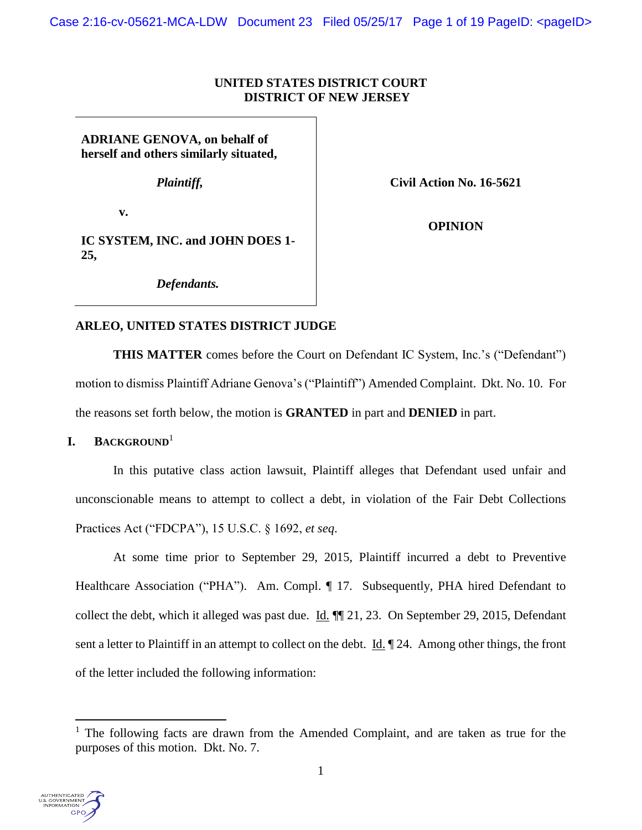### **UNITED STATES DISTRICT COURT DISTRICT OF NEW JERSEY**

**ADRIANE GENOVA, on behalf of herself and others similarly situated,**

*Plaintiff,*

**Civil Action No. 16-5621**

**v.** 

**OPINION**

**IC SYSTEM, INC. and JOHN DOES 1- 25,**

*Defendants.*

# **ARLEO, UNITED STATES DISTRICT JUDGE**

**THIS MATTER** comes before the Court on Defendant IC System, Inc.'s ("Defendant") motion to dismiss Plaintiff Adriane Genova's ("Plaintiff") Amended Complaint. Dkt. No. 10. For the reasons set forth below, the motion is **GRANTED** in part and **DENIED** in part.

# **I. BACKGROUND**<sup>1</sup>

In this putative class action lawsuit, Plaintiff alleges that Defendant used unfair and unconscionable means to attempt to collect a debt, in violation of the Fair Debt Collections Practices Act ("FDCPA"), 15 U.S.C. § 1692, *et seq*.

At some time prior to September 29, 2015, Plaintiff incurred a debt to Preventive Healthcare Association ("PHA"). Am. Compl. ¶ 17. Subsequently, PHA hired Defendant to collect the debt, which it alleged was past due. Id.  $\P$  21, 23. On September 29, 2015, Defendant sent a letter to Plaintiff in an attempt to collect on the debt. Id.  $\parallel$  24. Among other things, the front of the letter included the following information:

<sup>&</sup>lt;sup>1</sup> The following facts are drawn from the Amended Complaint, and are taken as true for the purposes of this motion. Dkt. No. 7.



 $\overline{\phantom{a}}$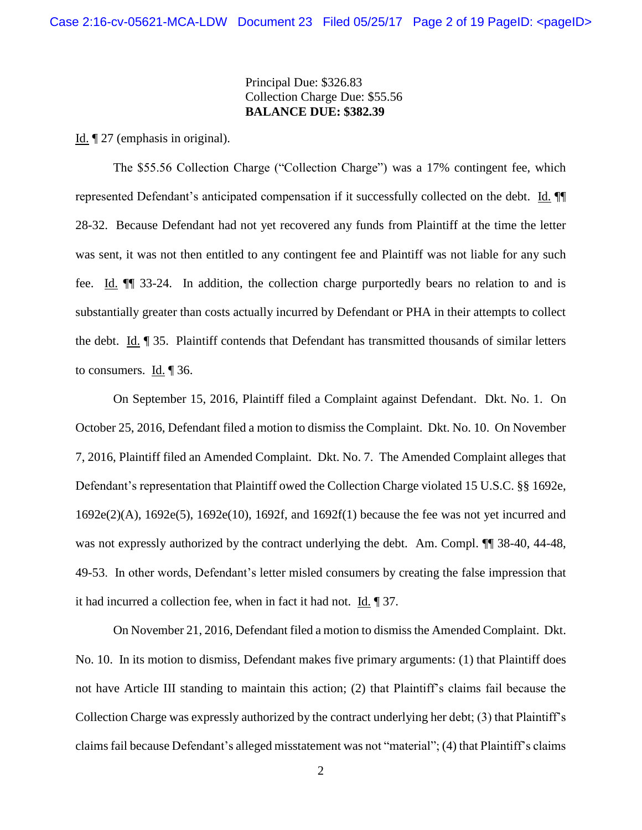### Principal Due: \$326.83 Collection Charge Due: \$55.56 **BALANCE DUE: \$382.39**

Id. ¶ 27 (emphasis in original).

The \$55.56 Collection Charge ("Collection Charge") was a 17% contingent fee, which represented Defendant's anticipated compensation if it successfully collected on the debt. Id. ¶¶ 28-32. Because Defendant had not yet recovered any funds from Plaintiff at the time the letter was sent, it was not then entitled to any contingent fee and Plaintiff was not liable for any such fee. Id. ¶¶ 33-24. In addition, the collection charge purportedly bears no relation to and is substantially greater than costs actually incurred by Defendant or PHA in their attempts to collect the debt. Id. ¶ 35. Plaintiff contends that Defendant has transmitted thousands of similar letters to consumers. Id. ¶ 36.

On September 15, 2016, Plaintiff filed a Complaint against Defendant. Dkt. No. 1. On October 25, 2016, Defendant filed a motion to dismiss the Complaint. Dkt. No. 10. On November 7, 2016, Plaintiff filed an Amended Complaint. Dkt. No. 7. The Amended Complaint alleges that Defendant's representation that Plaintiff owed the Collection Charge violated 15 U.S.C. §§ 1692e, 1692e(2)(A), 1692e(5), 1692e(10), 1692f, and 1692f(1) because the fee was not yet incurred and was not expressly authorized by the contract underlying the debt. Am. Compl.  $\P$  38-40, 44-48, 49-53. In other words, Defendant's letter misled consumers by creating the false impression that it had incurred a collection fee, when in fact it had not. Id. ¶ 37.

On November 21, 2016, Defendant filed a motion to dismiss the Amended Complaint. Dkt. No. 10. In its motion to dismiss, Defendant makes five primary arguments: (1) that Plaintiff does not have Article III standing to maintain this action; (2) that Plaintiff's claims fail because the Collection Charge was expressly authorized by the contract underlying her debt; (3) that Plaintiff's claims fail because Defendant's alleged misstatement was not "material"; (4) that Plaintiff's claims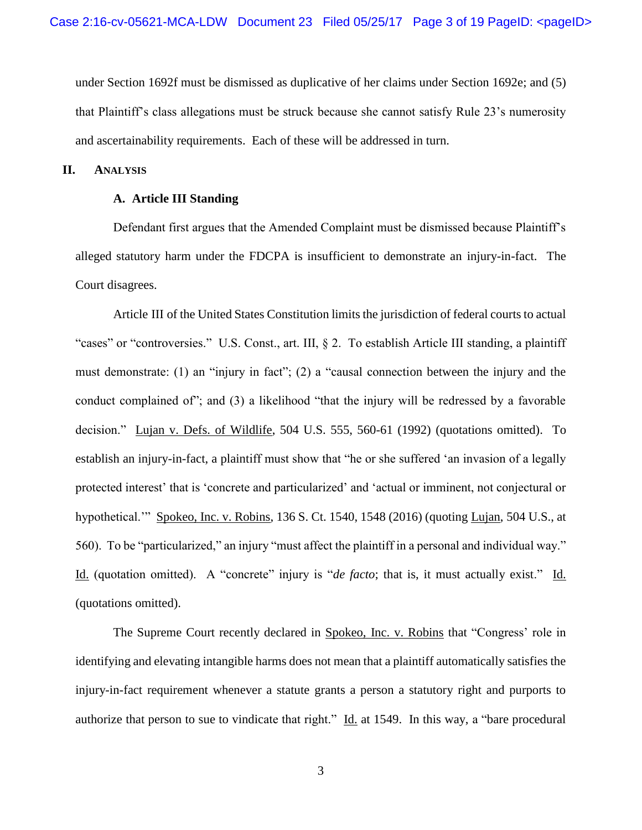under Section 1692f must be dismissed as duplicative of her claims under Section 1692e; and (5) that Plaintiff's class allegations must be struck because she cannot satisfy Rule 23's numerosity and ascertainability requirements. Each of these will be addressed in turn.

#### **II. ANALYSIS**

#### **A. Article III Standing**

Defendant first argues that the Amended Complaint must be dismissed because Plaintiff's alleged statutory harm under the FDCPA is insufficient to demonstrate an injury-in-fact. The Court disagrees.

Article III of the United States Constitution limits the jurisdiction of federal courts to actual "cases" or "controversies." U.S. Const., art. III, § 2. To establish Article III standing, a plaintiff must demonstrate: (1) an "injury in fact"; (2) a "causal connection between the injury and the conduct complained of"; and (3) a likelihood "that the injury will be redressed by a favorable decision." Lujan v. Defs. of Wildlife, 504 U.S. 555, 560-61 (1992) (quotations omitted). To establish an injury-in-fact, a plaintiff must show that "he or she suffered 'an invasion of a legally protected interest' that is 'concrete and particularized' and 'actual or imminent, not conjectural or hypothetical.'" Spokeo, Inc. v. Robins, 136 S. Ct. 1540, 1548 (2016) (quoting Lujan, 504 U.S., at 560). To be "particularized," an injury "must affect the plaintiff in a personal and individual way." Id. (quotation omitted). A "concrete" injury is "*de facto*; that is, it must actually exist." Id. (quotations omitted).

The Supreme Court recently declared in Spokeo, Inc. v. Robins that "Congress' role in identifying and elevating intangible harms does not mean that a plaintiff automatically satisfies the injury-in-fact requirement whenever a statute grants a person a statutory right and purports to authorize that person to sue to vindicate that right."  $\underline{Id}$  at 1549. In this way, a "bare procedural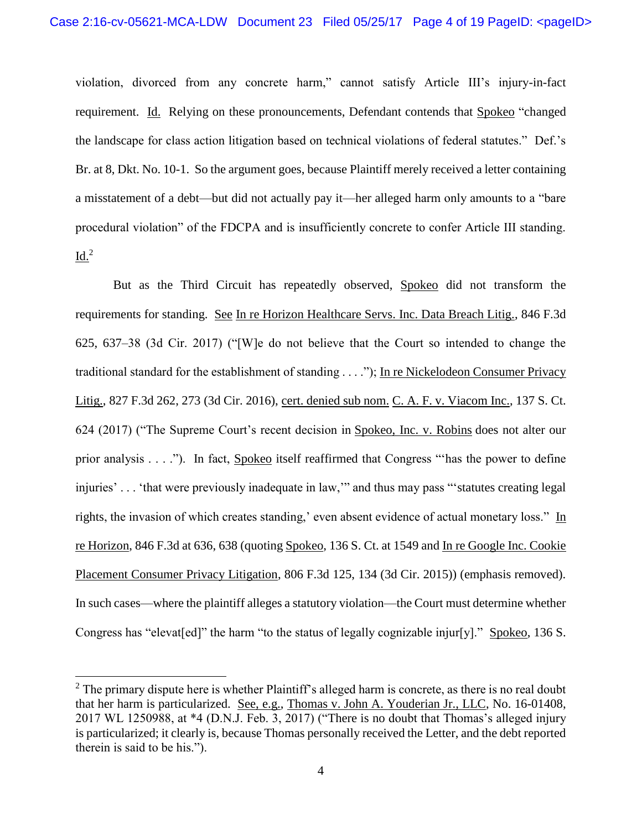violation, divorced from any concrete harm," cannot satisfy Article III's injury-in-fact requirement. Id. Relying on these pronouncements, Defendant contends that Spokeo "changed the landscape for class action litigation based on technical violations of federal statutes." Def.'s Br. at 8, Dkt. No. 10-1. So the argument goes, because Plaintiff merely received a letter containing a misstatement of a debt—but did not actually pay it—her alleged harm only amounts to a "bare procedural violation" of the FDCPA and is insufficiently concrete to confer Article III standing.  $Id.<sup>2</sup>$ 

But as the Third Circuit has repeatedly observed, Spokeo did not transform the requirements for standing. See In re Horizon Healthcare Servs. Inc. Data Breach Litig., 846 F.3d 625, 637–38 (3d Cir. 2017) ("[W]e do not believe that the Court so intended to change the traditional standard for the establishment of standing . . . ."); In re Nickelodeon Consumer Privacy Litig., 827 F.3d 262, 273 (3d Cir. 2016), cert. denied sub nom. C. A. F. v. Viacom Inc., 137 S. Ct. 624 (2017) ("The Supreme Court's recent decision in Spokeo, Inc. v. Robins does not alter our prior analysis . . . ."). In fact, Spokeo itself reaffirmed that Congress "'has the power to define injuries' . . . 'that were previously inadequate in law,'" and thus may pass "'statutes creating legal rights, the invasion of which creates standing,' even absent evidence of actual monetary loss." In re Horizon, 846 F.3d at 636, 638 (quoting Spokeo, 136 S. Ct. at 1549 and In re Google Inc. Cookie Placement Consumer Privacy Litigation, 806 F.3d 125, 134 (3d Cir. 2015)) (emphasis removed). In such cases—where the plaintiff alleges a statutory violation—the Court must determine whether Congress has "elevat[ed]" the harm "to the status of legally cognizable injur[y]." Spokeo, 136 S.

l

<sup>&</sup>lt;sup>2</sup> The primary dispute here is whether Plaintiff's alleged harm is concrete, as there is no real doubt that her harm is particularized. See, e.g., Thomas v. John A. Youderian Jr., LLC, No. 16-01408, 2017 WL 1250988, at \*4 (D.N.J. Feb. 3, 2017) ("There is no doubt that Thomas's alleged injury is particularized; it clearly is, because Thomas personally received the Letter, and the debt reported therein is said to be his.").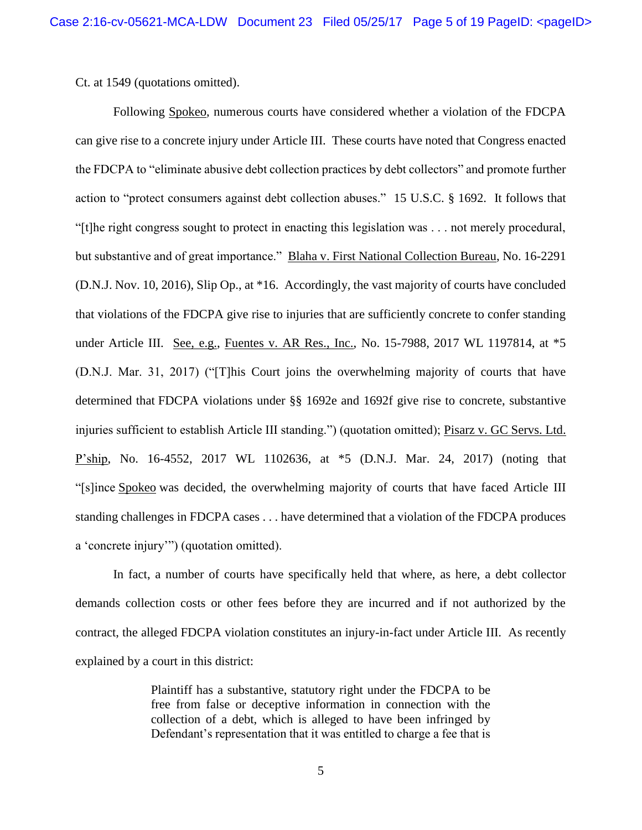Ct. at 1549 (quotations omitted).

Following Spokeo, numerous courts have considered whether a violation of the FDCPA can give rise to a concrete injury under Article III. These courts have noted that Congress enacted the FDCPA to "eliminate abusive debt collection practices by debt collectors" and promote further action to "protect consumers against debt collection abuses." 15 U.S.C. § 1692. It follows that "[t]he right congress sought to protect in enacting this legislation was . . . not merely procedural, but substantive and of great importance." Blaha v. First National Collection Bureau, No. 16-2291 (D.N.J. Nov. 10, 2016), Slip Op., at \*16. Accordingly, the vast majority of courts have concluded that violations of the FDCPA give rise to injuries that are sufficiently concrete to confer standing under Article III. See, e.g., Fuentes v. AR Res., Inc., No. 15-7988, 2017 WL 1197814, at \*5 (D.N.J. Mar. 31, 2017) ("[T]his Court joins the overwhelming majority of courts that have determined that FDCPA violations under §§ 1692e and 1692f give rise to concrete, substantive injuries sufficient to establish Article III standing.") (quotation omitted); Pisarz v. GC Servs. Ltd. P'ship, No. 16-4552, 2017 WL 1102636, at \*5 (D.N.J. Mar. 24, 2017) (noting that "[s]ince Spokeo was decided, the overwhelming majority of courts that have faced Article III standing challenges in FDCPA cases . . . have determined that a violation of the FDCPA produces a 'concrete injury'") (quotation omitted).

In fact, a number of courts have specifically held that where, as here, a debt collector demands collection costs or other fees before they are incurred and if not authorized by the contract, the alleged FDCPA violation constitutes an injury-in-fact under Article III. As recently explained by a court in this district:

> Plaintiff has a substantive, statutory right under the FDCPA to be free from false or deceptive information in connection with the collection of a debt, which is alleged to have been infringed by Defendant's representation that it was entitled to charge a fee that is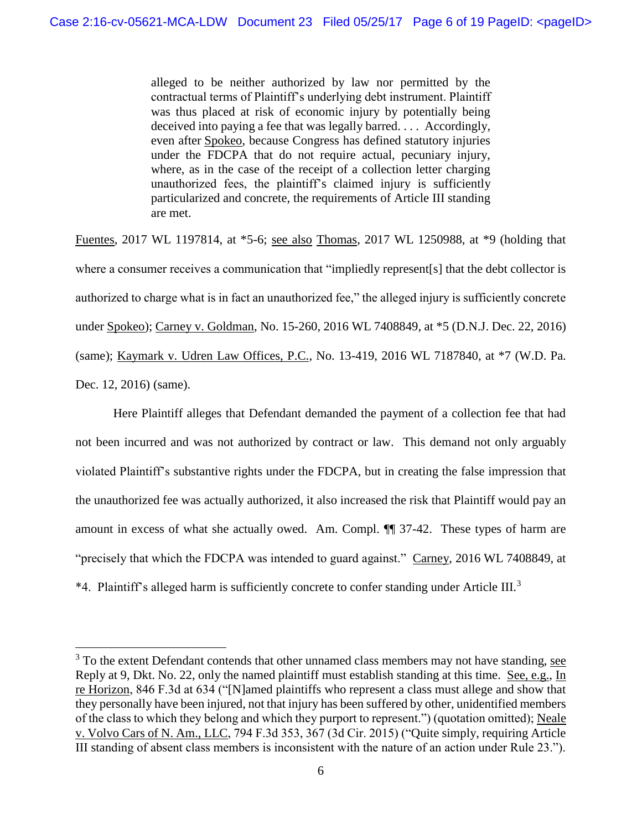alleged to be neither authorized by law nor permitted by the contractual terms of Plaintiff's underlying debt instrument. Plaintiff was thus placed at risk of economic injury by potentially being deceived into paying a fee that was legally barred. . . . Accordingly, even after Spokeo, because Congress has defined statutory injuries under the FDCPA that do not require actual, pecuniary injury, where, as in the case of the receipt of a collection letter charging unauthorized fees, the plaintiff's claimed injury is sufficiently particularized and concrete, the requirements of Article III standing are met.

Fuentes, 2017 WL 1197814, at \*5-6; see also Thomas, 2017 WL 1250988, at \*9 (holding that where a consumer receives a communication that "impliedly represent[s] that the debt collector is authorized to charge what is in fact an unauthorized fee," the alleged injury is sufficiently concrete under Spokeo); Carney v. Goldman, No. 15-260, 2016 WL 7408849, at \*5 (D.N.J. Dec. 22, 2016) (same); Kaymark v. Udren Law Offices, P.C., No. 13-419, 2016 WL 7187840, at \*7 (W.D. Pa. Dec. 12, 2016) (same).

Here Plaintiff alleges that Defendant demanded the payment of a collection fee that had not been incurred and was not authorized by contract or law. This demand not only arguably violated Plaintiff's substantive rights under the FDCPA, but in creating the false impression that the unauthorized fee was actually authorized, it also increased the risk that Plaintiff would pay an amount in excess of what she actually owed. Am. Compl. ¶¶ 37-42. These types of harm are "precisely that which the FDCPA was intended to guard against." Carney, 2016 WL 7408849, at \*4. Plaintiff's alleged harm is sufficiently concrete to confer standing under Article III.<sup>3</sup>

 $\overline{\phantom{a}}$ 

 $3$  To the extent Defendant contends that other unnamed class members may not have standing, see Reply at 9, Dkt. No. 22, only the named plaintiff must establish standing at this time. See, e.g., In re Horizon, 846 F.3d at 634 ("[N]amed plaintiffs who represent a class must allege and show that they personally have been injured, not that injury has been suffered by other, unidentified members of the class to which they belong and which they purport to represent.") (quotation omitted); Neale v. Volvo Cars of N. Am., LLC, 794 F.3d 353, 367 (3d Cir. 2015) ("Quite simply, requiring Article III standing of absent class members is inconsistent with the nature of an action under Rule 23.").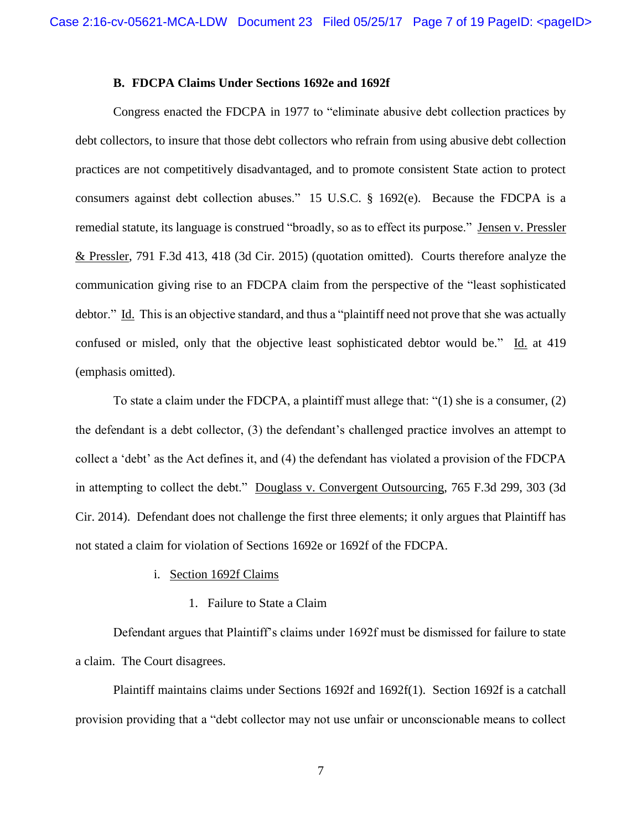#### **B. FDCPA Claims Under Sections 1692e and 1692f**

Congress enacted the FDCPA in 1977 to "eliminate abusive debt collection practices by debt collectors, to insure that those debt collectors who refrain from using abusive debt collection practices are not competitively disadvantaged, and to promote consistent State action to protect consumers against debt collection abuses." 15 U.S.C. § 1692(e). Because the FDCPA is a remedial statute, its language is construed "broadly, so as to effect its purpose." Jensen v. Pressler & Pressler, 791 F.3d 413, 418 (3d Cir. 2015) (quotation omitted). Courts therefore analyze the communication giving rise to an FDCPA claim from the perspective of the "least sophisticated debtor." Id. This is an objective standard, and thus a "plaintiff need not prove that she was actually confused or misled, only that the objective least sophisticated debtor would be." Id. at 419 (emphasis omitted).

To state a claim under the FDCPA, a plaintiff must allege that: "(1) she is a consumer, (2) the defendant is a debt collector, (3) the defendant's challenged practice involves an attempt to collect a 'debt' as the Act defines it, and (4) the defendant has violated a provision of the FDCPA in attempting to collect the debt." Douglass v. Convergent Outsourcing, 765 F.3d 299, 303 (3d Cir. 2014). Defendant does not challenge the first three elements; it only argues that Plaintiff has not stated a claim for violation of Sections 1692e or 1692f of the FDCPA.

#### i. Section 1692f Claims

#### 1. Failure to State a Claim

Defendant argues that Plaintiff's claims under 1692f must be dismissed for failure to state a claim. The Court disagrees.

Plaintiff maintains claims under Sections 1692f and 1692f(1). Section 1692f is a catchall provision providing that a "debt collector may not use unfair or unconscionable means to collect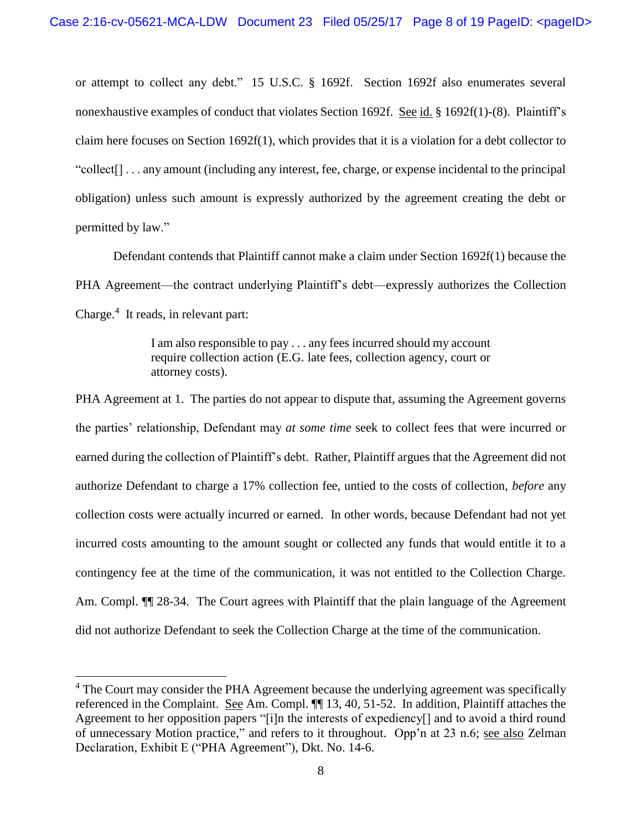or attempt to collect any debt." 15 U.S.C. § 1692f. Section 1692f also enumerates several nonexhaustive examples of conduct that violates Section 1692f. See id. § 1692f(1)-(8). Plaintiff's claim here focuses on Section 1692f(1), which provides that it is a violation for a debt collector to "collect[] . . . any amount (including any interest, fee, charge, or expense incidental to the principal obligation) unless such amount is expressly authorized by the agreement creating the debt or permitted by law."

Defendant contends that Plaintiff cannot make a claim under Section 1692f(1) because the PHA Agreement—the contract underlying Plaintiff's debt—expressly authorizes the Collection Charge.<sup>4</sup> It reads, in relevant part:

> I am also responsible to pay . . . any fees incurred should my account require collection action (E.G. late fees, collection agency, court or attorney costs).

PHA Agreement at 1. The parties do not appear to dispute that, assuming the Agreement governs the parties' relationship, Defendant may *at some time* seek to collect fees that were incurred or earned during the collection of Plaintiff's debt. Rather, Plaintiff argues that the Agreement did not authorize Defendant to charge a 17% collection fee, untied to the costs of collection, *before* any collection costs were actually incurred or earned. In other words, because Defendant had not yet incurred costs amounting to the amount sought or collected any funds that would entitle it to a contingency fee at the time of the communication, it was not entitled to the Collection Charge. Am. Compl.  $\P$  28-34. The Court agrees with Plaintiff that the plain language of the Agreement did not authorize Defendant to seek the Collection Charge at the time of the communication.

l

<sup>&</sup>lt;sup>4</sup> The Court may consider the PHA Agreement because the underlying agreement was specifically referenced in the Complaint. See Am. Compl. ¶¶ 13, 40, 51-52. In addition, Plaintiff attaches the Agreement to her opposition papers "[i]n the interests of expediency[] and to avoid a third round of unnecessary Motion practice," and refers to it throughout. Opp'n at 23 n.6; see also Zelman Declaration, Exhibit E ("PHA Agreement"), Dkt. No. 14-6.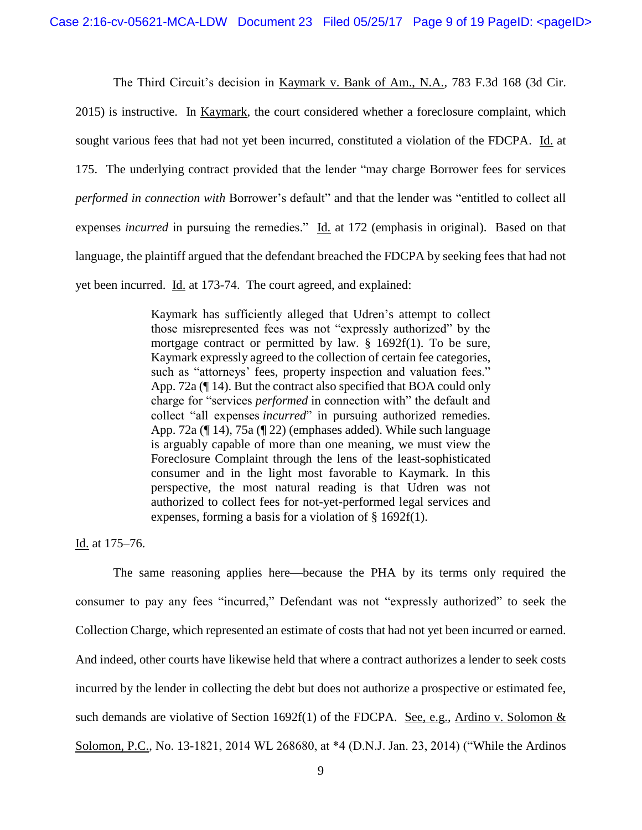The Third Circuit's decision in Kaymark v. Bank of Am., N.A., 783 F.3d 168 (3d Cir. 2015) is instructive. In Kaymark, the court considered whether a foreclosure complaint, which sought various fees that had not yet been incurred, constituted a violation of the FDCPA. Id. at 175. The underlying contract provided that the lender "may charge Borrower fees for services *performed in connection with* Borrower's default" and that the lender was "entitled to collect all expenses *incurred* in pursuing the remedies." Id. at 172 (emphasis in original). Based on that language, the plaintiff argued that the defendant breached the FDCPA by seeking fees that had not yet been incurred. Id. at 173-74. The court agreed, and explained:

> Kaymark has sufficiently alleged that Udren's attempt to collect those misrepresented fees was not "expressly authorized" by the mortgage contract or permitted by law. § 1692f(1). To be sure, Kaymark expressly agreed to the collection of certain fee categories, such as "attorneys' fees, property inspection and valuation fees." App. 72a (¶ 14). But the contract also specified that BOA could only charge for "services *performed* in connection with" the default and collect "all expenses *incurred*" in pursuing authorized remedies. App. 72a (¶ 14), 75a (¶ 22) (emphases added). While such language is arguably capable of more than one meaning, we must view the Foreclosure Complaint through the lens of the least-sophisticated consumer and in the light most favorable to Kaymark. In this perspective, the most natural reading is that Udren was not authorized to collect fees for not-yet-performed legal services and expenses, forming a basis for a violation of § 1692f(1).

Id. at 175–76.

The same reasoning applies here—because the PHA by its terms only required the consumer to pay any fees "incurred," Defendant was not "expressly authorized" to seek the Collection Charge, which represented an estimate of costs that had not yet been incurred or earned. And indeed, other courts have likewise held that where a contract authorizes a lender to seek costs incurred by the lender in collecting the debt but does not authorize a prospective or estimated fee, such demands are violative of Section 1692f(1) of the FDCPA. See, e.g., Ardino v. Solomon  $&$ Solomon, P.C., No. 13-1821, 2014 WL 268680, at \*4 (D.N.J. Jan. 23, 2014) ("While the Ardinos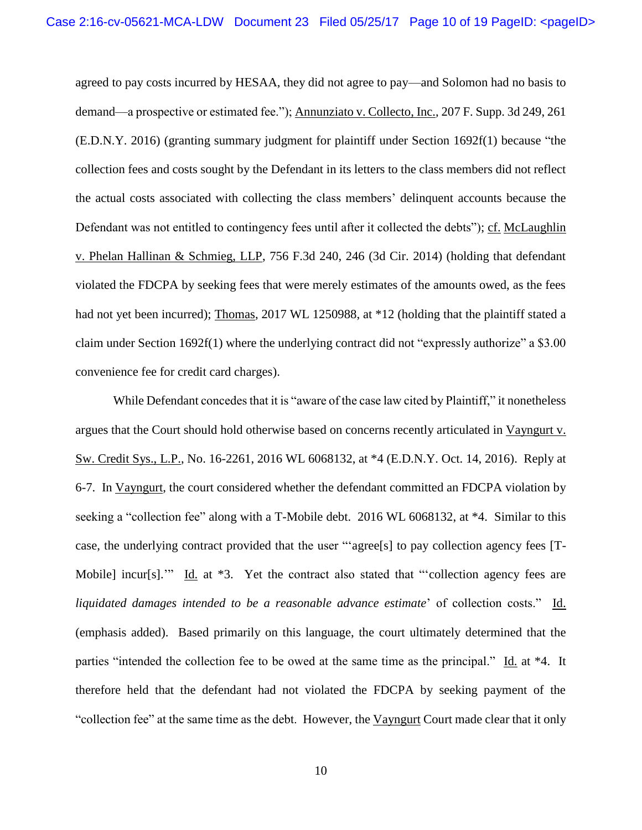agreed to pay costs incurred by HESAA, they did not agree to pay—and Solomon had no basis to demand—a prospective or estimated fee."); Annunziato v. Collecto, Inc., 207 F. Supp. 3d 249, 261 (E.D.N.Y. 2016) (granting summary judgment for plaintiff under Section 1692f(1) because "the collection fees and costs sought by the Defendant in its letters to the class members did not reflect the actual costs associated with collecting the class members' delinquent accounts because the Defendant was not entitled to contingency fees until after it collected the debts"); cf. McLaughlin v. Phelan Hallinan & Schmieg, LLP, 756 F.3d 240, 246 (3d Cir. 2014) (holding that defendant violated the FDCPA by seeking fees that were merely estimates of the amounts owed, as the fees had not yet been incurred); Thomas, 2017 WL 1250988, at \*12 (holding that the plaintiff stated a claim under Section 1692f(1) where the underlying contract did not "expressly authorize" a \$3.00 convenience fee for credit card charges).

While Defendant concedes that it is "aware of the case law cited by Plaintiff," it nonetheless argues that the Court should hold otherwise based on concerns recently articulated in Vayngurt v. Sw. Credit Sys., L.P., No. 16-2261, 2016 WL 6068132, at \*4 (E.D.N.Y. Oct. 14, 2016). Reply at 6-7. In Vayngurt, the court considered whether the defendant committed an FDCPA violation by seeking a "collection fee" along with a T-Mobile debt. 2016 WL 6068132, at  $*4$ . Similar to this case, the underlying contract provided that the user "'agree[s] to pay collection agency fees [T-Mobile] incur[s]."" Id. at \*3. Yet the contract also stated that "collection agency fees are *liquidated damages intended to be a reasonable advance estimate*' of collection costs." Id. (emphasis added). Based primarily on this language, the court ultimately determined that the parties "intended the collection fee to be owed at the same time as the principal." Id. at \*4. It therefore held that the defendant had not violated the FDCPA by seeking payment of the "collection fee" at the same time as the debt. However, the Vayngurt Court made clear that it only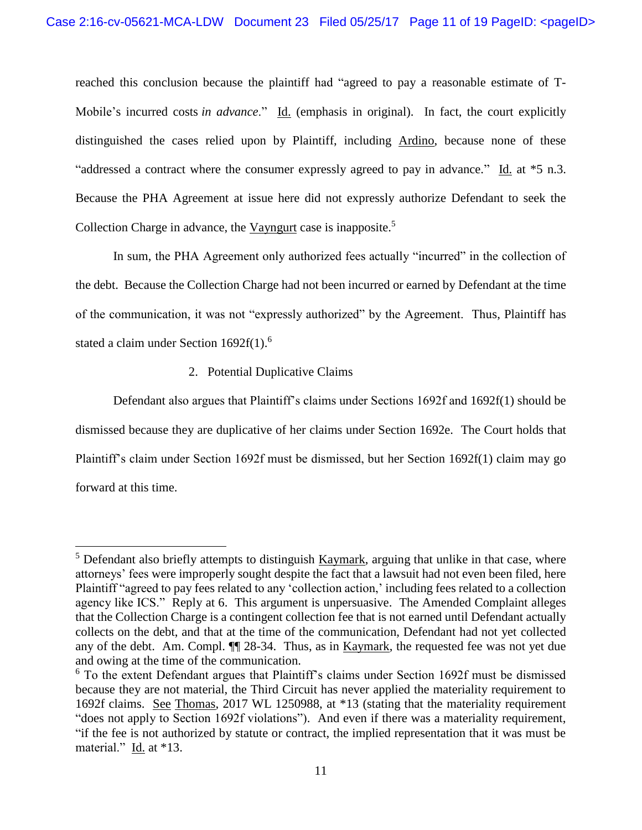reached this conclusion because the plaintiff had "agreed to pay a reasonable estimate of T-Mobile's incurred costs *in advance*." Id. (emphasis in original). In fact, the court explicitly distinguished the cases relied upon by Plaintiff, including Ardino, because none of these "addressed a contract where the consumer expressly agreed to pay in advance." Id. at \*5 n.3. Because the PHA Agreement at issue here did not expressly authorize Defendant to seek the Collection Charge in advance, the Vayngurt case is inapposite.<sup>5</sup>

In sum, the PHA Agreement only authorized fees actually "incurred" in the collection of the debt. Because the Collection Charge had not been incurred or earned by Defendant at the time of the communication, it was not "expressly authorized" by the Agreement. Thus, Plaintiff has stated a claim under Section 1692f(1).<sup>6</sup>

### 2. Potential Duplicative Claims

 $\overline{a}$ 

Defendant also argues that Plaintiff's claims under Sections 1692f and 1692f(1) should be dismissed because they are duplicative of her claims under Section 1692e. The Court holds that Plaintiff's claim under Section 1692f must be dismissed, but her Section 1692f(1) claim may go forward at this time.

 $5$  Defendant also briefly attempts to distinguish  $Kaymark$ , arguing that unlike in that case, where attorneys' fees were improperly sought despite the fact that a lawsuit had not even been filed, here Plaintiff "agreed to pay fees related to any 'collection action,' including fees related to a collection agency like ICS." Reply at 6. This argument is unpersuasive. The Amended Complaint alleges that the Collection Charge is a contingent collection fee that is not earned until Defendant actually collects on the debt, and that at the time of the communication, Defendant had not yet collected any of the debt. Am. Compl. ¶¶ 28-34. Thus, as in Kaymark, the requested fee was not yet due and owing at the time of the communication.

<sup>&</sup>lt;sup>6</sup> To the extent Defendant argues that Plaintiff's claims under Section 1692f must be dismissed because they are not material, the Third Circuit has never applied the materiality requirement to 1692f claims. See Thomas, 2017 WL 1250988, at \*13 (stating that the materiality requirement "does not apply to Section 1692f violations"). And even if there was a materiality requirement, "if the fee is not authorized by statute or contract, the implied representation that it was must be material." Id. at \*13.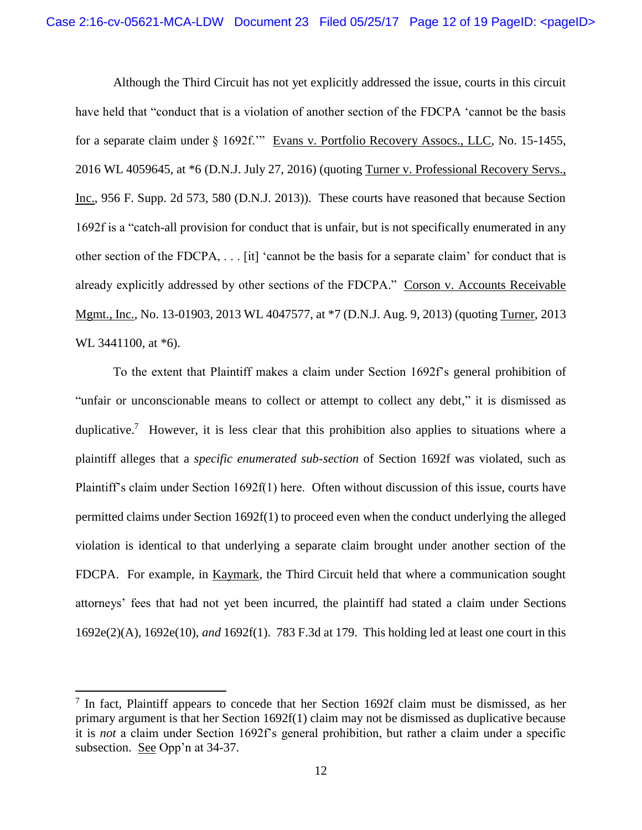Although the Third Circuit has not yet explicitly addressed the issue, courts in this circuit have held that "conduct that is a violation of another section of the FDCPA 'cannot be the basis for a separate claim under § 1692f.'" Evans v. Portfolio Recovery Assocs., LLC, No. 15-1455, 2016 WL 4059645, at \*6 (D.N.J. July 27, 2016) (quoting Turner v. Professional Recovery Servs., Inc., 956 F. Supp. 2d 573, 580 (D.N.J. 2013)). These courts have reasoned that because Section 1692f is a "catch-all provision for conduct that is unfair, but is not specifically enumerated in any other section of the FDCPA, . . . [it] 'cannot be the basis for a separate claim' for conduct that is already explicitly addressed by other sections of the FDCPA." Corson v. Accounts Receivable Mgmt., Inc., No. 13-01903, 2013 WL 4047577, at \*7 (D.N.J. Aug. 9, 2013) (quoting Turner, 2013 WL 3441100, at  $*6$ ).

To the extent that Plaintiff makes a claim under Section 1692f's general prohibition of "unfair or unconscionable means to collect or attempt to collect any debt," it is dismissed as duplicative.<sup>7</sup> However, it is less clear that this prohibition also applies to situations where a plaintiff alleges that a *specific enumerated sub-section* of Section 1692f was violated, such as Plaintiff's claim under Section 1692f(1) here. Often without discussion of this issue, courts have permitted claims under Section 1692f(1) to proceed even when the conduct underlying the alleged violation is identical to that underlying a separate claim brought under another section of the FDCPA. For example, in Kaymark, the Third Circuit held that where a communication sought attorneys' fees that had not yet been incurred, the plaintiff had stated a claim under Sections 1692e(2)(A), 1692e(10), *and* 1692f(1). 783 F.3d at 179. This holding led at least one court in this

 $\overline{a}$ 

<sup>&</sup>lt;sup>7</sup> In fact, Plaintiff appears to concede that her Section 1692f claim must be dismissed, as her primary argument is that her Section 1692f(1) claim may not be dismissed as duplicative because it is *not* a claim under Section 1692f's general prohibition, but rather a claim under a specific subsection. See Opp'n at 34-37.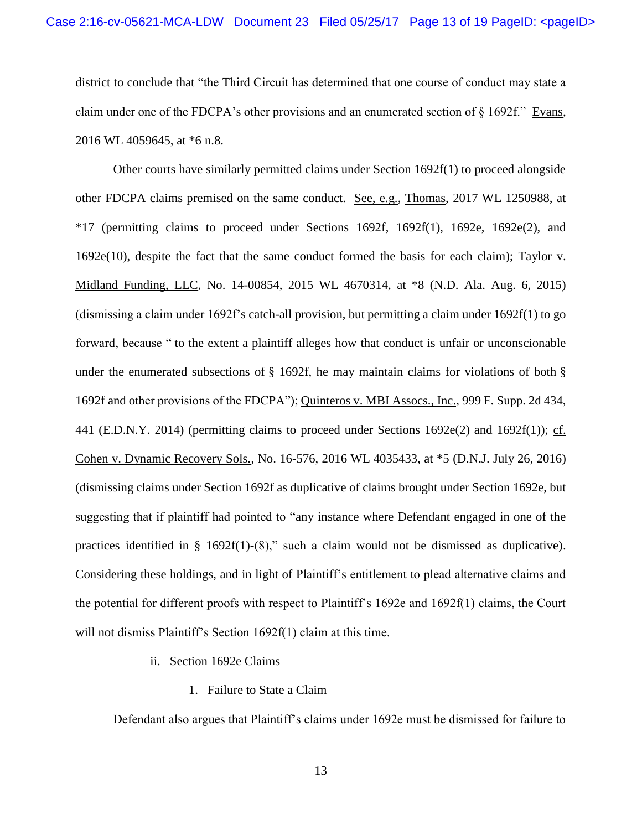district to conclude that "the Third Circuit has determined that one course of conduct may state a claim under one of the FDCPA's other provisions and an enumerated section of § 1692f." Evans, 2016 WL 4059645, at \*6 n.8.

Other courts have similarly permitted claims under Section 1692f(1) to proceed alongside other FDCPA claims premised on the same conduct. See, e.g., Thomas, 2017 WL 1250988, at  $*17$  (permitting claims to proceed under Sections 1692f, 1692f(1), 1692e, 1692e(2), and 1692e(10), despite the fact that the same conduct formed the basis for each claim); Taylor v. Midland Funding, LLC, No. 14-00854, 2015 WL 4670314, at \*8 (N.D. Ala. Aug. 6, 2015) (dismissing a claim under 1692f's catch-all provision, but permitting a claim under 1692f(1) to go forward, because " to the extent a plaintiff alleges how that conduct is unfair or unconscionable under the enumerated subsections of  $\S$  1692f, he may maintain claims for violations of both  $\S$ 1692f and other provisions of the FDCPA"); Quinteros v. MBI Assocs., Inc., 999 F. Supp. 2d 434, 441 (E.D.N.Y. 2014) (permitting claims to proceed under Sections 1692e(2) and 1692f(1)); cf. Cohen v. Dynamic Recovery Sols., No. 16-576, 2016 WL 4035433, at \*5 (D.N.J. July 26, 2016) (dismissing claims under Section 1692f as duplicative of claims brought under Section 1692e, but suggesting that if plaintiff had pointed to "any instance where Defendant engaged in one of the practices identified in § 1692f(1)-(8)," such a claim would not be dismissed as duplicative). Considering these holdings, and in light of Plaintiff's entitlement to plead alternative claims and the potential for different proofs with respect to Plaintiff's 1692e and 1692f(1) claims, the Court will not dismiss Plaintiff's Section 1692f(1) claim at this time.

- ii. Section 1692e Claims
	- 1. Failure to State a Claim

Defendant also argues that Plaintiff's claims under 1692e must be dismissed for failure to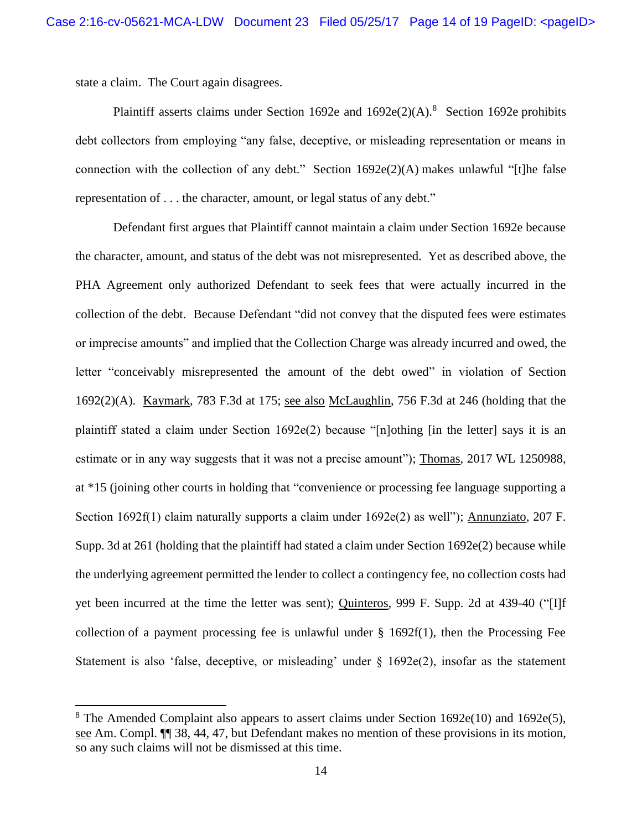state a claim. The Court again disagrees.

 $\overline{\phantom{a}}$ 

Plaintiff asserts claims under Section 1692e and  $1692e(2)(A)$ .<sup>8</sup> Section 1692e prohibits debt collectors from employing "any false, deceptive, or misleading representation or means in connection with the collection of any debt." Section 1692e(2)(A) makes unlawful "[t]he false representation of . . . the character, amount, or legal status of any debt."

Defendant first argues that Plaintiff cannot maintain a claim under Section 1692e because the character, amount, and status of the debt was not misrepresented. Yet as described above, the PHA Agreement only authorized Defendant to seek fees that were actually incurred in the collection of the debt. Because Defendant "did not convey that the disputed fees were estimates or imprecise amounts" and implied that the Collection Charge was already incurred and owed, the letter "conceivably misrepresented the amount of the debt owed" in violation of Section 1692(2)(A). Kaymark, 783 F.3d at 175; see also McLaughlin, 756 F.3d at 246 (holding that the plaintiff stated a claim under Section  $1692e(2)$  because "[n]othing [in the letter] says it is an estimate or in any way suggests that it was not a precise amount"); Thomas, 2017 WL 1250988, at \*15 (joining other courts in holding that "convenience or processing fee language supporting a Section 1692f(1) claim naturally supports a claim under 1692e(2) as well"); Annunziato, 207 F. Supp. 3d at 261 (holding that the plaintiff had stated a claim under Section 1692e(2) because while the underlying agreement permitted the lender to collect a contingency fee, no collection costs had yet been incurred at the time the letter was sent); Quinteros, 999 F. Supp. 2d at 439-40 ("[I]f collection of a payment processing fee is unlawful under  $\S$  1692f(1), then the Processing Fee Statement is also 'false, deceptive, or misleading' under § 1692e(2), insofar as the statement

<sup>&</sup>lt;sup>8</sup> The Amended Complaint also appears to assert claims under Section  $1692e(10)$  and  $1692e(5)$ , see Am. Compl. ¶¶ 38, 44, 47, but Defendant makes no mention of these provisions in its motion, so any such claims will not be dismissed at this time.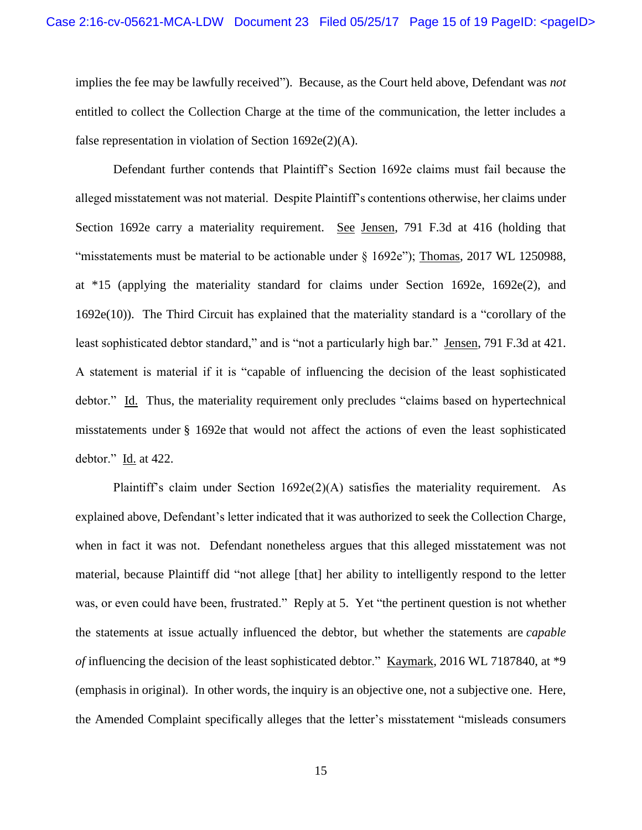implies the fee may be lawfully received"). Because, as the Court held above, Defendant was *not* entitled to collect the Collection Charge at the time of the communication, the letter includes a false representation in violation of Section 1692e(2)(A).

Defendant further contends that Plaintiff's Section 1692e claims must fail because the alleged misstatement was not material. Despite Plaintiff's contentions otherwise, her claims under Section 1692e carry a materiality requirement. See Jensen, 791 F.3d at 416 (holding that "misstatements must be material to be actionable under § 1692e"); Thomas, 2017 WL 1250988, at \*15 (applying the materiality standard for claims under Section 1692e, 1692e(2), and 1692e(10)). The Third Circuit has explained that the materiality standard is a "corollary of the least sophisticated debtor standard," and is "not a particularly high bar." Jensen, 791 F.3d at 421. A statement is material if it is "capable of influencing the decision of the least sophisticated debtor." Id. Thus, the materiality requirement only precludes "claims based on hypertechnical misstatements under § 1692e that would not affect the actions of even the least sophisticated debtor." Id. at 422.

Plaintiff's claim under Section  $1692e(2)(A)$  satisfies the materiality requirement. As explained above, Defendant's letter indicated that it was authorized to seek the Collection Charge, when in fact it was not. Defendant nonetheless argues that this alleged misstatement was not material, because Plaintiff did "not allege [that] her ability to intelligently respond to the letter was, or even could have been, frustrated." Reply at 5. Yet "the pertinent question is not whether the statements at issue actually influenced the debtor, but whether the statements are *capable of* influencing the decision of the least sophisticated debtor." Kaymark, 2016 WL 7187840, at \*9 (emphasis in original). In other words, the inquiry is an objective one, not a subjective one. Here, the Amended Complaint specifically alleges that the letter's misstatement "misleads consumers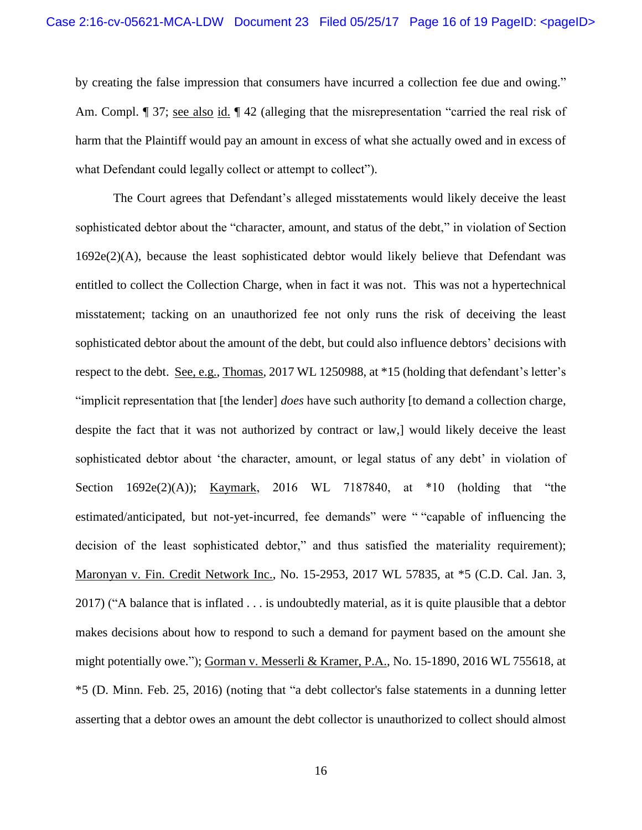by creating the false impression that consumers have incurred a collection fee due and owing." Am. Compl. ¶ 37; see also id. ¶ 42 (alleging that the misrepresentation "carried the real risk of harm that the Plaintiff would pay an amount in excess of what she actually owed and in excess of what Defendant could legally collect or attempt to collect".

The Court agrees that Defendant's alleged misstatements would likely deceive the least sophisticated debtor about the "character, amount, and status of the debt," in violation of Section 1692e(2)(A), because the least sophisticated debtor would likely believe that Defendant was entitled to collect the Collection Charge, when in fact it was not. This was not a hypertechnical misstatement; tacking on an unauthorized fee not only runs the risk of deceiving the least sophisticated debtor about the amount of the debt, but could also influence debtors' decisions with respect to the debt. See, e.g., Thomas, 2017 WL 1250988, at \*15 (holding that defendant's letter's "implicit representation that [the lender] *does* have such authority [to demand a collection charge, despite the fact that it was not authorized by contract or law,] would likely deceive the least sophisticated debtor about 'the character, amount, or legal status of any debt' in violation of Section 1692e(2)(A)); Kaymark, 2016 WL 7187840, at \*10 (holding that "the estimated/anticipated, but not-yet-incurred, fee demands" were " "capable of influencing the decision of the least sophisticated debtor," and thus satisfied the materiality requirement); Maronyan v. Fin. Credit Network Inc., No. 15-2953, 2017 WL 57835, at \*5 (C.D. Cal. Jan. 3, 2017) ("A balance that is inflated . . . is undoubtedly material, as it is quite plausible that a debtor makes decisions about how to respond to such a demand for payment based on the amount she might potentially owe."); Gorman v. Messerli & Kramer, P.A., No. 15-1890, 2016 WL 755618, at \*5 (D. Minn. Feb. 25, 2016) (noting that "a debt collector's false statements in a dunning letter asserting that a debtor owes an amount the debt collector is unauthorized to collect should almost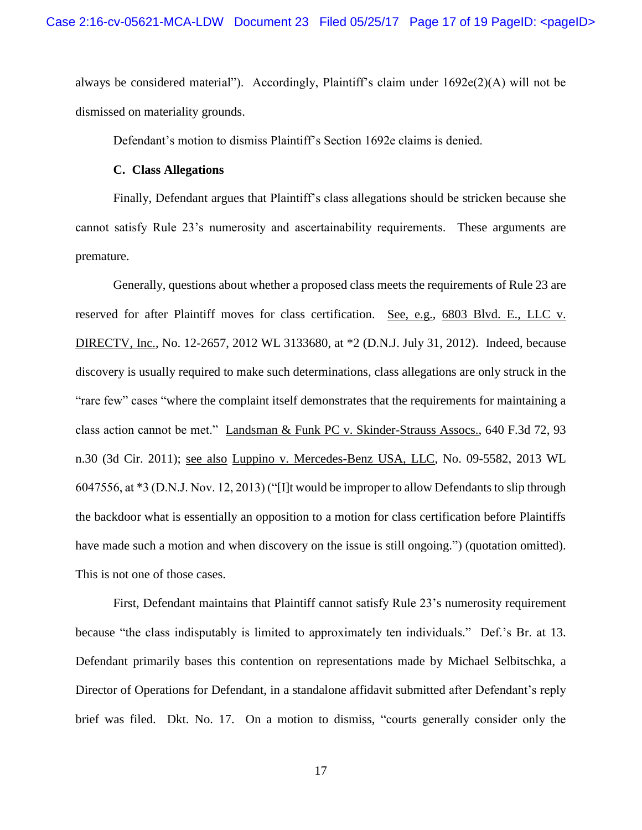always be considered material"). Accordingly, Plaintiff's claim under 1692e(2)(A) will not be dismissed on materiality grounds.

Defendant's motion to dismiss Plaintiff's Section 1692e claims is denied.

#### **C. Class Allegations**

Finally, Defendant argues that Plaintiff's class allegations should be stricken because she cannot satisfy Rule 23's numerosity and ascertainability requirements. These arguments are premature.

Generally, questions about whether a proposed class meets the requirements of Rule 23 are reserved for after Plaintiff moves for class certification. See, e.g., 6803 Blvd. E., LLC v. DIRECTV, Inc., No. 12-2657, 2012 WL 3133680, at \*2 (D.N.J. July 31, 2012). Indeed, because discovery is usually required to make such determinations, class allegations are only struck in the "rare few" cases "where the complaint itself demonstrates that the requirements for maintaining a class action cannot be met." Landsman & Funk PC v. Skinder-Strauss Assocs., 640 F.3d 72, 93 n.30 (3d Cir. 2011); see also Luppino v. Mercedes-Benz USA, LLC, No. 09-5582, 2013 WL 6047556, at \*3 (D.N.J. Nov. 12, 2013) ("[I]t would be improper to allow Defendants to slip through the backdoor what is essentially an opposition to a motion for class certification before Plaintiffs have made such a motion and when discovery on the issue is still ongoing.") (quotation omitted). This is not one of those cases.

 First, Defendant maintains that Plaintiff cannot satisfy Rule 23's numerosity requirement because "the class indisputably is limited to approximately ten individuals." Def.'s Br. at 13. Defendant primarily bases this contention on representations made by Michael Selbitschka, a Director of Operations for Defendant, in a standalone affidavit submitted after Defendant's reply brief was filed. Dkt. No. 17. On a motion to dismiss, "courts generally consider only the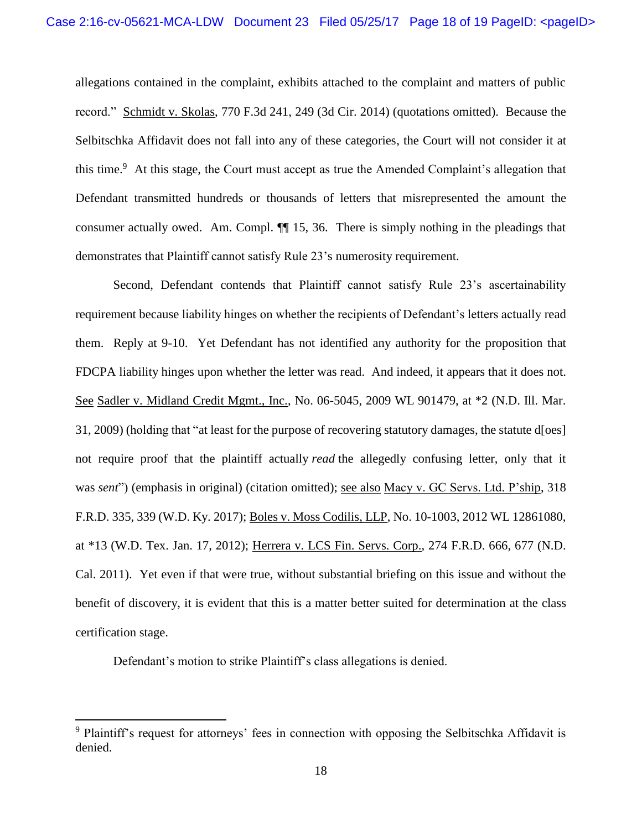allegations contained in the complaint, exhibits attached to the complaint and matters of public record." Schmidt v. Skolas, 770 F.3d 241, 249 (3d Cir. 2014) (quotations omitted). Because the Selbitschka Affidavit does not fall into any of these categories, the Court will not consider it at this time.<sup>9</sup> At this stage, the Court must accept as true the Amended Complaint's allegation that Defendant transmitted hundreds or thousands of letters that misrepresented the amount the consumer actually owed. Am. Compl. ¶¶ 15, 36. There is simply nothing in the pleadings that demonstrates that Plaintiff cannot satisfy Rule 23's numerosity requirement.

Second, Defendant contends that Plaintiff cannot satisfy Rule 23's ascertainability requirement because liability hinges on whether the recipients of Defendant's letters actually read them. Reply at 9-10. Yet Defendant has not identified any authority for the proposition that FDCPA liability hinges upon whether the letter was read. And indeed, it appears that it does not. See Sadler v. Midland Credit Mgmt., Inc., No. 06-5045, 2009 WL 901479, at \*2 (N.D. Ill. Mar. 31, 2009) (holding that "at least for the purpose of recovering statutory damages, the statute d[oes] not require proof that the plaintiff actually *read* the allegedly confusing letter, only that it was *sent*") (emphasis in original) (citation omitted); <u>see also Macy v. GC Servs. Ltd. P'ship</u>, 318 F.R.D. 335, 339 (W.D. Ky. 2017); Boles v. Moss Codilis, LLP, No. 10-1003, 2012 WL 12861080, at \*13 (W.D. Tex. Jan. 17, 2012); Herrera v. LCS Fin. Servs. Corp., 274 F.R.D. 666, 677 (N.D. Cal. 2011). Yet even if that were true, without substantial briefing on this issue and without the benefit of discovery, it is evident that this is a matter better suited for determination at the class certification stage.

Defendant's motion to strike Plaintiff's class allegations is denied.

 $\overline{\phantom{a}}$ 

<sup>&</sup>lt;sup>9</sup> Plaintiff's request for attorneys' fees in connection with opposing the Selbitschka Affidavit is denied.